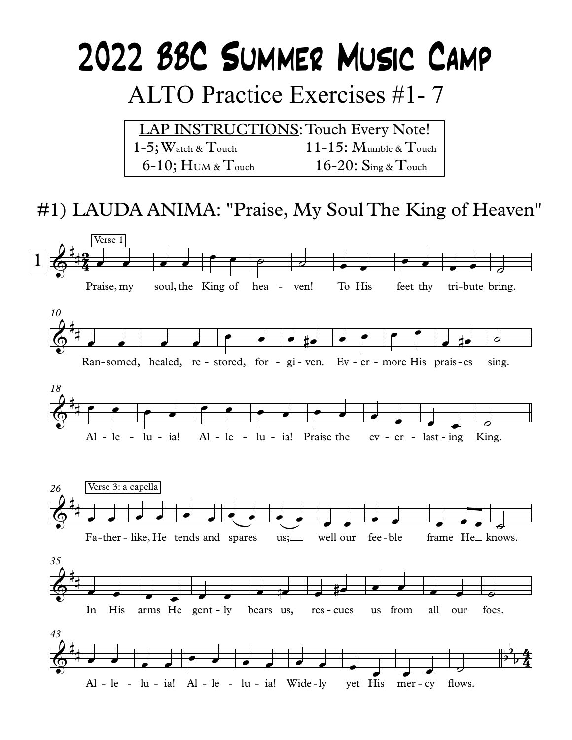# 2022 BBC SUMMER MUSIC CAMP

# **ALTO Practice Exercises #1-7**

**LAP INSTRUCTIONS: Touch Every Note!**  $1-5$ ; Watch &  $T$ ouch  $11-15$ : Mumble & Touch  $6-10$ ; HUM & Touch 16-20:  $\text{Sine} \& \text{Touch}$ 

## #1) LAUDA ANIMA: "Praise, My Soul The King of Heaven"

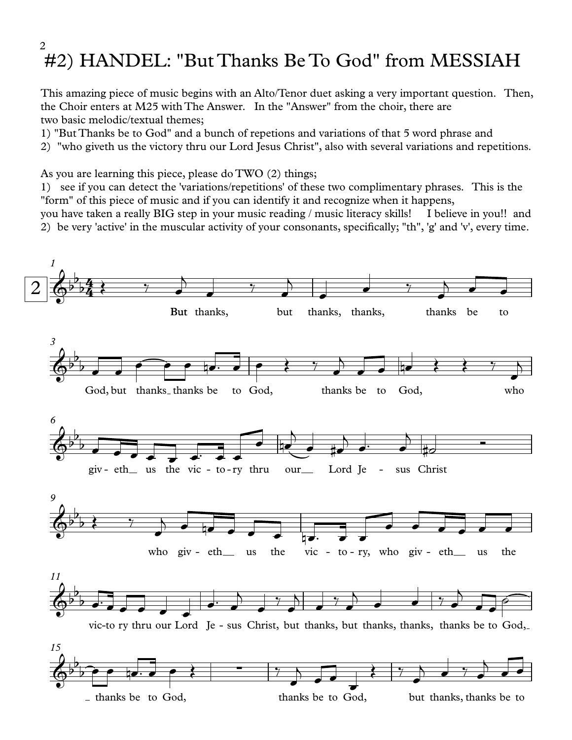#### #2) HANDEL: "But Thanks Be To God" from MESSIAH 2

This amazing piece of music begins with an Alto/Tenor duet asking a very important question. Then, the Choir enters at M25 with The Answer. In the "Answer" from the choir, there are two basic melodic/textual themes;

1) "But Thanks be to God" and a bunch of repetions and variations of that 5 word phrase and

2) "who giveth us the victory thru our Lord Jesus Christ", also with several variations and repetitions.

As you are learning this piece, please do TWO (2) things;

1) see ifyou can detect the 'variations/repetitions' of these two complimentary phrases. This is the "form" of this piece of music and if you can identify it and recognize when it happens,

you have taken a really BIG step in your music reading / music literacy skills! I believe in you!! and

2) be very 'active' in the muscular activity of your consonants, specifically; "th", 'g' and 'v', every time.

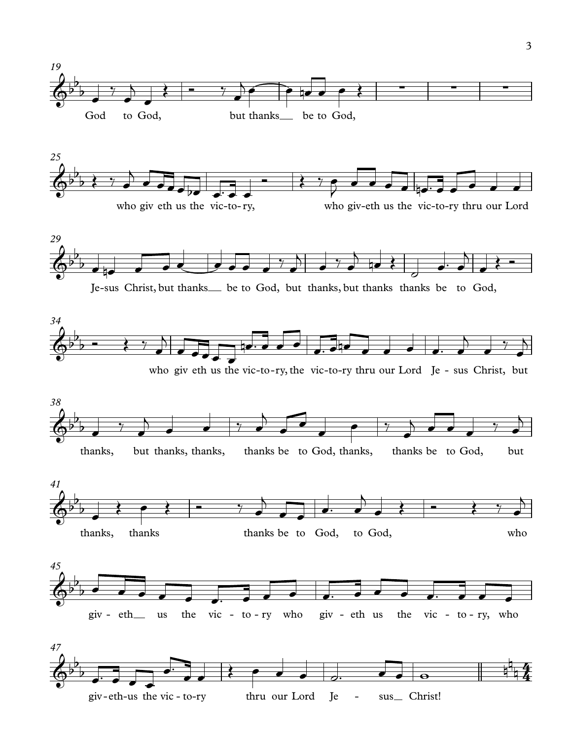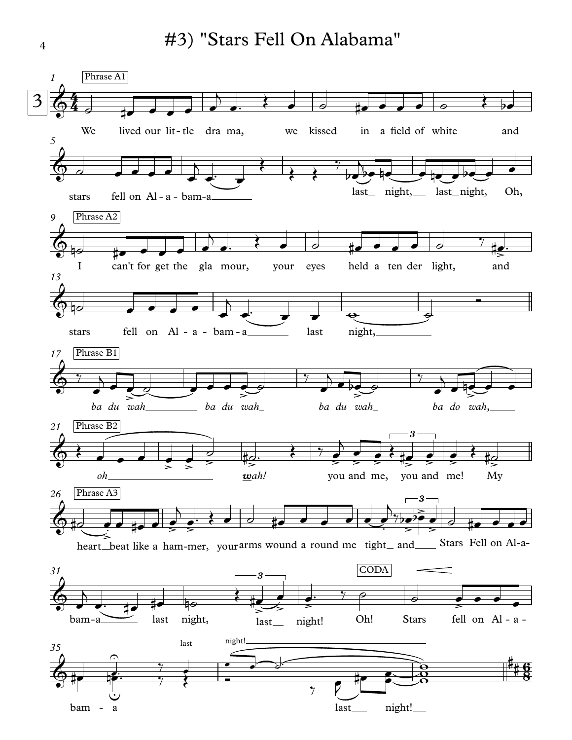

4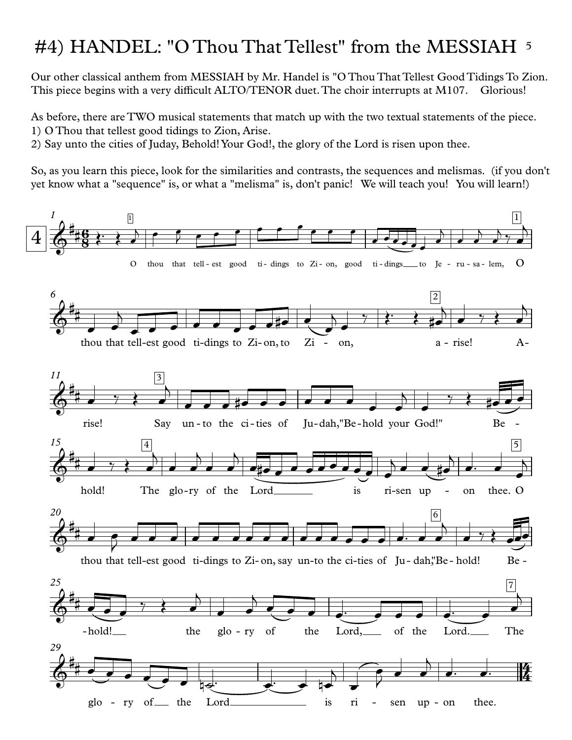## #4) HANDEL: "O Thou That Tellest" from the MESSIAH 5

Our other classical anthem from MESSIAH by Mr. Handel is "O Thou That Tellest Good Tidings To Zion. This piece begins with a very difficult ALTO/TENOR duet. The choir interrupts at M107. Glorious!

As before, there are TWO musical statements that match up with the two textual statements of the piece. 1) O Thou that tellest good tidings to Zion, Arise.

2) Say unto the cities of Juday, Behold!Your God!, the glory of the Lord isrisen upon thee.

So, as you learn this piece, look for the similarities and contrasts, the sequences and melismas. (if you don't yet know what a "sequence" is, or what a "melisma" is, don't panic! We will teach you! You will learn!)

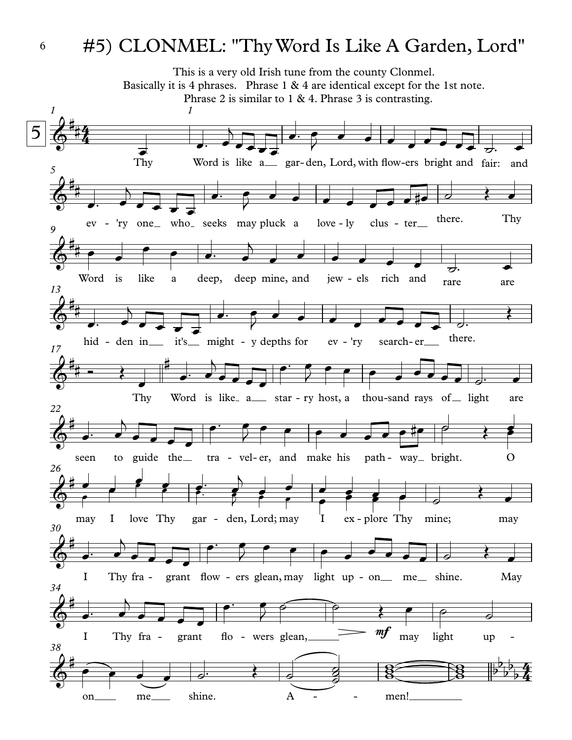## #5) CLONMEL: "ThyWord Is Like A Garden, Lord"



6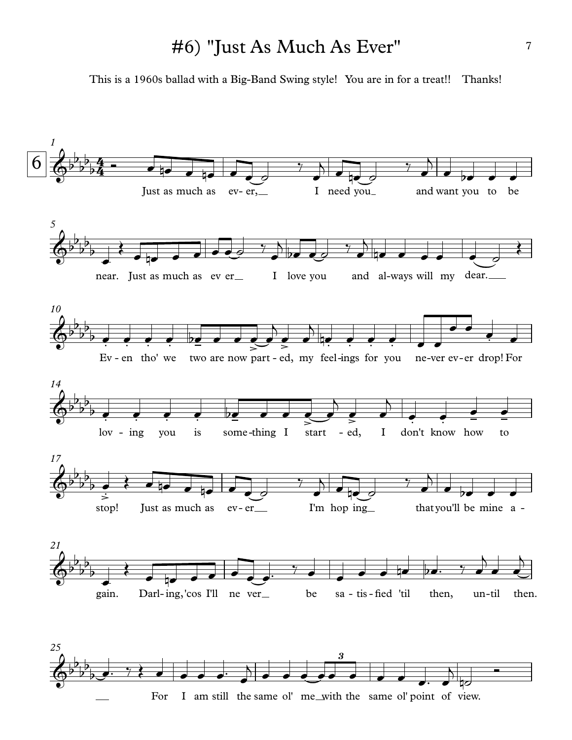### #6) "Just As Much As Ever"

This is a 1960s ballad with a Big-Band Swing style! You are in for a treat!! Thanks!

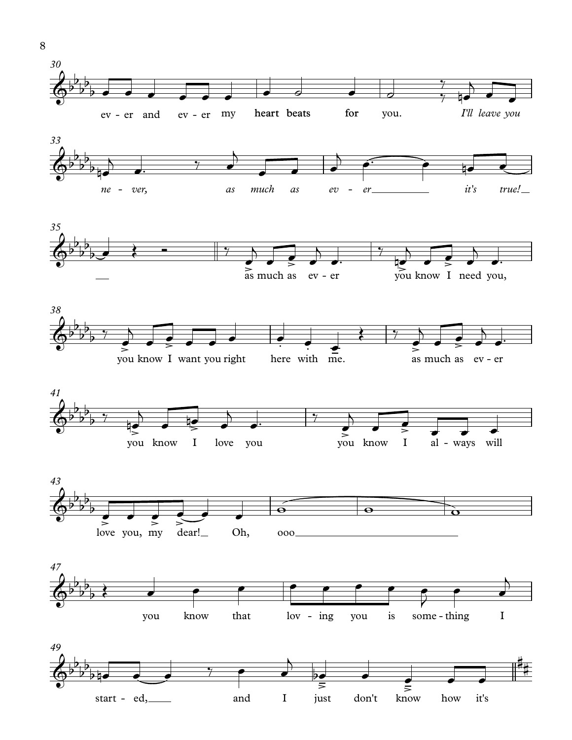













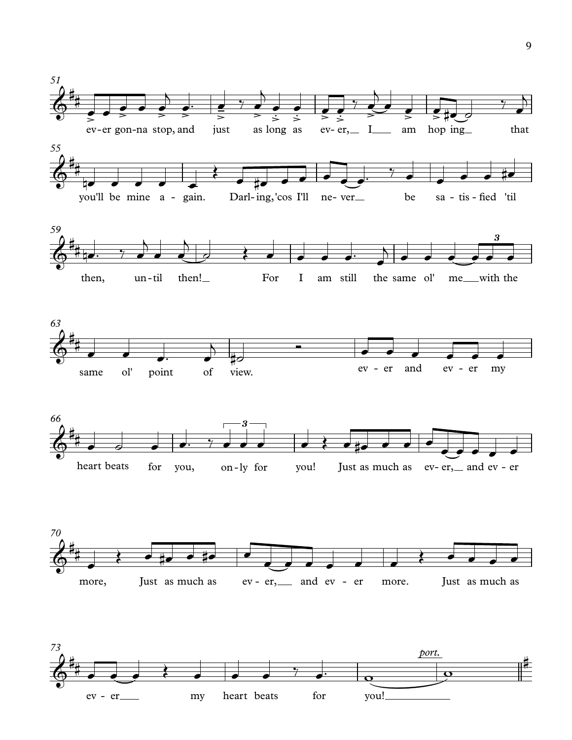

ev - er my heart beats for you!

9